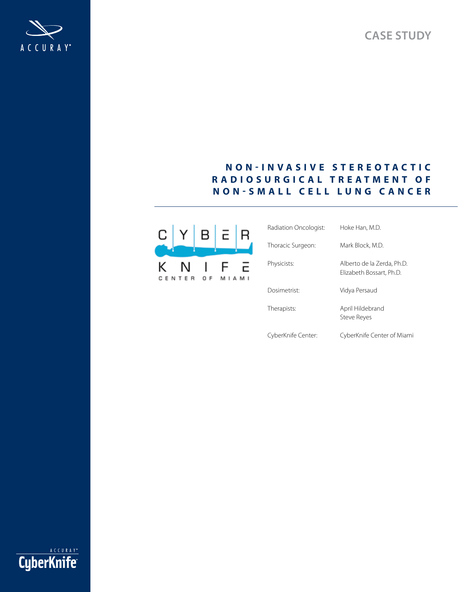**Case study**



# **N on - I n v a s i v e S t e r e o t ac t ic Ra d io s u r g ica l T r e a t m e n t of N on - S m a l l c e l l Lun g C anc e r**



| Radiation Oncologist:    | Hoke Han, M.D.                                         |
|--------------------------|--------------------------------------------------------|
| Thoracic Surgeon:        | Mark Block, M.D.                                       |
| Physicists:              | Alberto de la Zerda, Ph.D.<br>Elizabeth Bossart, Ph.D. |
| Dosimetrist <sup>.</sup> | Vidya Persaud                                          |
| Therapists:              | April Hildebrand<br>Steve Reyes                        |
| CyberKnife Center:       | CyberKnife Center of Miami                             |

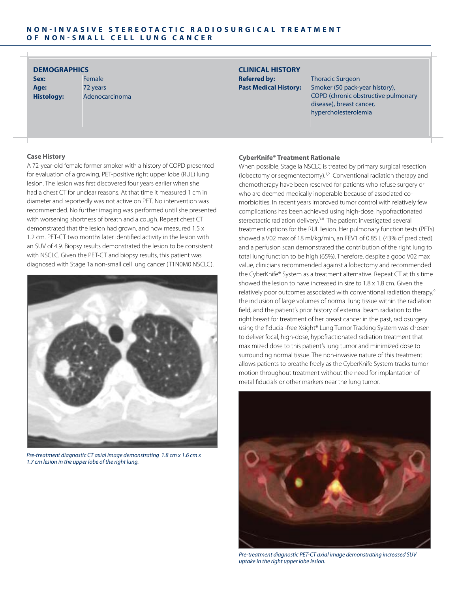# **DEMOGRAPHICS CLINICAL HISTORY**

**Sex:** Female **Age:** 72 years **Histology:** Adenocarcinoma

**Referred by:** Thoracic Surgeon Past Medical History: Smoker (50 pack-year history), COPD (chronic obstructive pulmonary disease), breast cancer, hypercholesterolemia

# **Case History**

A 72-year-old female former smoker with a history of COPD presented for evaluation of a growing, PET-positive right upper lobe (RUL) lung lesion. The lesion was first discovered four years earlier when she had a chest CT for unclear reasons. At that time it measured 1 cm in diameter and reportedly was not active on PET. No intervention was recommended. No further imaging was performed until she presented with worsening shortness of breath and a cough. Repeat chest CT demonstrated that the lesion had grown, and now measured 1.5 x 1.2 cm. PET-CT two months later identified activity in the lesion with an SUV of 4.9. Biopsy results demonstrated the lesion to be consistent with NSCLC. Given the PET-CT and biopsy results, this patient was diagnosed with Stage 1a non-small cell lung cancer (T1N0M0 NSCLC).



*Pre-treatment diagnostic CT axial image demonstrating 1.8 cm x 1.6 cm x 1.7 cm lesion in the upper lobe of the right lung.*

### **CyberKnife® Treatment Rationale**

When possible, Stage Ia NSCLC is treated by primary surgical resection (lobectomy or segmentectomy).<sup>1,2</sup> Conventional radiation therapy and chemotherapy have been reserved for patients who refuse surgery or who are deemed medically inoperable because of associated comorbidities. In recent years improved tumor control with relatively few complications has been achieved using high-dose, hypofractionated stereotactic radiation delivery.<sup>3-8</sup> The patient investigated several treatment options for the RUL lesion. Her pulmonary function tests (PFTs) showed a V02 max of 18 ml/kg/min, an FEV1 of 0.85 L (43% of predicted) and a perfusion scan demonstrated the contribution of the right lung to total lung function to be high (65%). Therefore, despite a good V02 max value, clinicians recommended against a lobectomy and recommended the CyberKnife® System as a treatment alternative. Repeat CT at this time showed the lesion to have increased in size to 1.8 x 1.8 cm. Given the relatively poor outcomes associated with conventional radiation therapy,<sup>9</sup> the inclusion of large volumes of normal lung tissue within the radiation field, and the patient's prior history of external beam radiation to the right breast for treatment of her breast cancer in the past, radiosurgery using the fiducial-free Xsight® Lung Tumor Tracking System was chosen to deliver focal, high-dose, hypofractionated radiation treatment that maximized dose to this patient's lung tumor and minimized dose to surrounding normal tissue. The non-invasive nature of this treatment allows patients to breathe freely as the CyberKnife System tracks tumor motion throughout treatment without the need for implantation of metal fiducials or other markers near the lung tumor.



*Pre-treatment diagnostic PET-CT axial image demonstrating increased SUV uptake in the right upper lobe lesion.*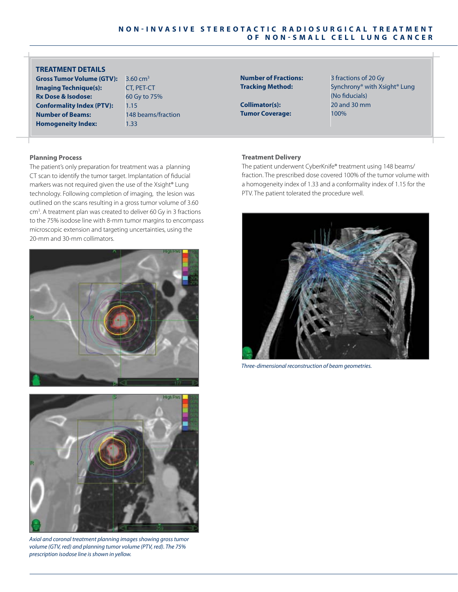# **TREATMENT DETAILS**

**Gross Tumor Volume (GTV):** 3.60 cm<sup>3</sup> **Imaging Technique(s):** CT, PET-CT **Rx Dose & Isodose:** 60 Gy to 75% **Conformality Index (PTV):** 1.15 **Number of Beams:** 148 beams/fraction **Homogeneity Index:** 1.33

**Number of Fractions:** 3 fractions of 20 Gy

**Collimator(s):** 20 and 30 mm **Tumor Coverage:** 100%

**Tracking Method:** Synchrony® with Xsight® Lung (No fiducials)

# **Planning Process**

The patient's only preparation for treatment was a planning CT scan to identify the tumor target. Implantation of fiducial markers was not required given the use of the Xsight® Lung technology. Following completion of imaging, the lesion was outlined on the scans resulting in a gross tumor volume of 3.60 cm<sup>3</sup>. A treatment plan was created to deliver 60 Gy in 3 fractions to the 75% isodose line with 8-mm tumor margins to encompass microscopic extension and targeting uncertainties, using the 20-mm and 30-mm collimators.





*Axial and coronal treatment planning images showing gross tumor volume (GTV, red) and planning tumor volume (PTV, red). The 75% prescription isodose line is shown in yellow.*

### **Treatment Delivery**

The patient underwent CyberKnife® treatment using 148 beams/ fraction. The prescribed dose covered 100% of the tumor volume with a homogeneity index of 1.33 and a conformality index of 1.15 for the PTV. The patient tolerated the procedure well.



*Three-dimensional reconstruction of beam geometries.*